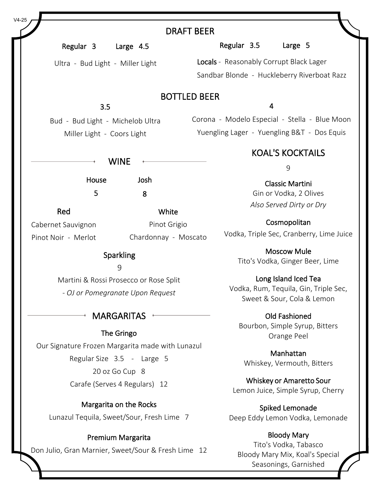|                                                  |                                           | <b>DRAFT BEER</b>                             |  |  |
|--------------------------------------------------|-------------------------------------------|-----------------------------------------------|--|--|
| Regular 3                                        | Large 4.5                                 | Regular 3.5<br>Large 5                        |  |  |
| Ultra - Bud Light - Miller Light                 |                                           | Locals - Reasonably Corrupt Black Lager       |  |  |
|                                                  |                                           | Sandbar Blonde - Huckleberry Riverboat Razz   |  |  |
|                                                  |                                           | <b>BOTTLED BEER</b>                           |  |  |
| 3.5                                              |                                           | $\overline{4}$                                |  |  |
| Bud - Bud Light - Michelob Ultra                 |                                           | Corona - Modelo Especial - Stella - Blue Moon |  |  |
| Miller Light - Coors Light                       |                                           | Yuengling Lager - Yuengling B&T - Dos Equis   |  |  |
|                                                  |                                           | <b>KOAL'S KOCKTAILS</b>                       |  |  |
|                                                  | <b>WINE</b>                               | 9                                             |  |  |
| House                                            | Josh                                      | <b>Classic Martini</b>                        |  |  |
| 5                                                | 8                                         | Gin or Vodka, 2 Olives                        |  |  |
| Red                                              | White                                     | Also Served Dirty or Dry                      |  |  |
| Cabernet Sauvignon                               | Pinot Grigio                              | Cosmopolitan                                  |  |  |
| Pinot Noir - Merlot                              | Chardonnay - Moscato                      | Vodka, Triple Sec, Cranberry, Lime Juice      |  |  |
| Sparkling                                        |                                           | <b>Moscow Mule</b>                            |  |  |
|                                                  | 9                                         | Tito's Vodka, Ginger Beer, Lime               |  |  |
|                                                  | Martini & Rossi Prosecco or Rose Split    | Long Island Iced Tea                          |  |  |
|                                                  | - OJ or Pomegranate Upon Request          | Vodka, Rum, Tequila, Gin, Triple Sec,         |  |  |
|                                                  |                                           | Sweet & Sour, Cola & Lemon                    |  |  |
|                                                  | <b>MARGARITAS</b>                         | <b>Old Fashioned</b>                          |  |  |
| The Gringo                                       |                                           | Bourbon, Simple Syrup, Bitters                |  |  |
| Our Signature Frozen Margarita made with Lunazul |                                           | Orange Peel                                   |  |  |
|                                                  |                                           | Manhattan                                     |  |  |
| Regular Size 3.5 - Large 5<br>20 oz Go Cup 8     |                                           | Whiskey, Vermouth, Bitters                    |  |  |
| Carafe (Serves 4 Regulars) 12                    |                                           | Whiskey or Amaretto Sour                      |  |  |
|                                                  |                                           | Lemon Juice, Simple Syrup, Cherry             |  |  |
|                                                  | Margarita on the Rocks                    | Spiked Lemonade                               |  |  |
|                                                  | Lunazul Tequila, Sweet/Sour, Fresh Lime 7 | Deep Eddy Lemon Vodka, Lemonade               |  |  |
|                                                  |                                           | <b>Bloody Mary</b>                            |  |  |
| Premium Margarita                                |                                           | Tito's Vodka, Tabasco                         |  |  |

Don Julio, Gran Marnier, Sweet/Sour & Fresh Lime 12

Bloody Mary Mix, Koal's Special Seasonings, Garnished